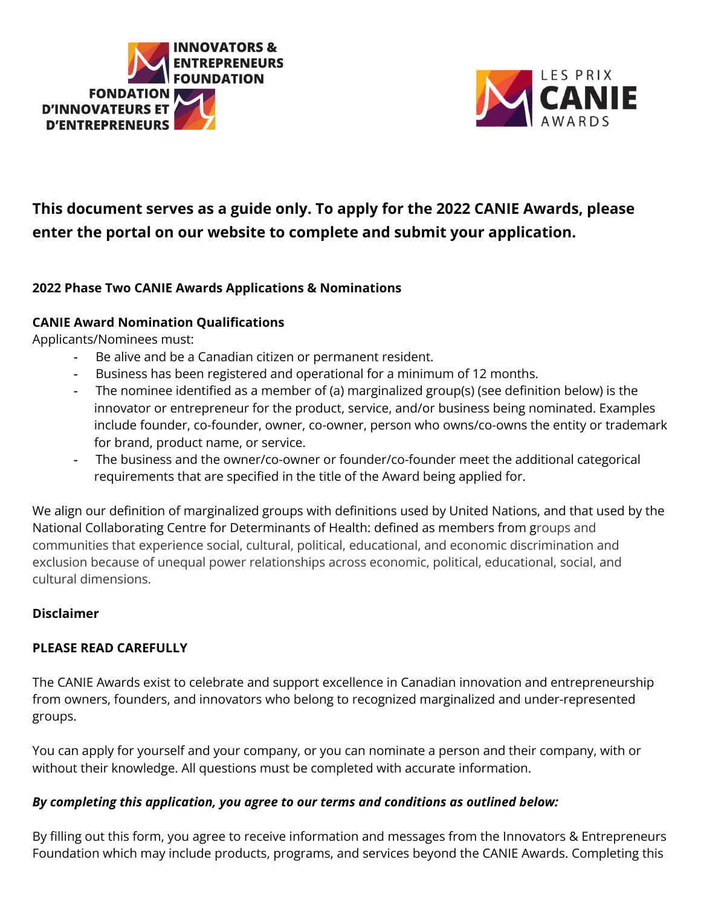



# **This document serves as a guide only. To apply for the 2022 CANIE Awards, please enter the portal on our website to complete and submit your application.**

## **2022 Phase Two CANIE Awards Applications & Nominations**

## **CANIE Award Nomination Qualifications**

Applicants/Nominees must:

- Be alive and be a Canadian citizen or permanent resident.
- Business has been registered and operational for a minimum of 12 months.
- The nominee identified as a member of (a) marginalized group(s) (see definition below) is the innovator or entrepreneur for the product, service, and/or business being nominated. Examples include founder, co-founder, owner, co-owner, person who owns/co-owns the entity or trademark for brand, product name, or service.
- The business and the owner/co-owner or founder/co-founder meet the additional categorical requirements that are specified in the title of the Award being applied for.

We align our definition of marginalized groups with definitions used by United Nations, and that used by the National Collaborating Centre for Determinants of Health: defined as members from groups and communities that experience social, cultural, political, educational, and economic discrimination and exclusion because of unequal power relationships across economic, political, educational, social, and cultural dimensions.

## **Disclaimer**

## **PLEASE READ CAREFULLY**

The CANIE Awards exist to celebrate and support excellence in Canadian innovation and entrepreneurship from owners, founders, and innovators who belong to recognized marginalized and under-represented groups.

You can apply for yourself and your company, or you can nominate a person and their company, with or without their knowledge. All questions must be completed with accurate information.

## *By completing this application, you agree to our terms and conditions as outlined below:*

By filling out this form, you agree to receive information and messages from the Innovators & Entrepreneurs Foundation which may include products, programs, and services beyond the CANIE Awards. Completing this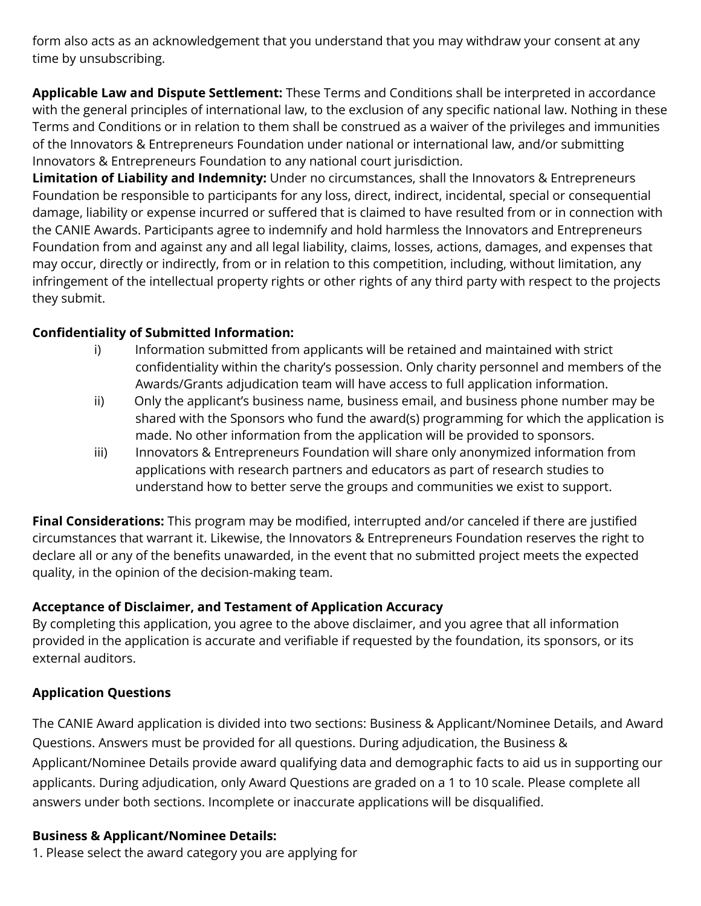form also acts as an acknowledgement that you understand that you may withdraw your consent at any time by unsubscribing.

**Applicable Law and Dispute Settlement:** These Terms and Conditions shall be interpreted in accordance with the general principles of international law, to the exclusion of any specific national law. Nothing in these Terms and Conditions or in relation to them shall be construed as a waiver of the privileges and immunities of the Innovators & Entrepreneurs Foundation under national or international law, and/or submitting Innovators & Entrepreneurs Foundation to any national court jurisdiction.

**Limitation of Liability and Indemnity:** Under no circumstances, shall the Innovators & Entrepreneurs Foundation be responsible to participants for any loss, direct, indirect, incidental, special or consequential damage, liability or expense incurred or suffered that is claimed to have resulted from or in connection with the CANIE Awards. Participants agree to indemnify and hold harmless the Innovators and Entrepreneurs Foundation from and against any and all legal liability, claims, losses, actions, damages, and expenses that may occur, directly or indirectly, from or in relation to this competition, including, without limitation, any infringement of the intellectual property rights or other rights of any third party with respect to the projects they submit.

## **Confidentiality of Submitted Information:**

- i) Information submitted from applicants will be retained and maintained with strict confidentiality within the charity's possession. Only charity personnel and members of the Awards/Grants adjudication team will have access to full application information.
- ii) Only the applicant's business name, business email, and business phone number may be shared with the Sponsors who fund the award(s) programming for which the application is made. No other information from the application will be provided to sponsors.
- iii) Innovators & Entrepreneurs Foundation will share only anonymized information from applications with research partners and educators as part of research studies to understand how to better serve the groups and communities we exist to support.

**Final Considerations:** This program may be modified, interrupted and/or canceled if there are justified circumstances that warrant it. Likewise, the Innovators & Entrepreneurs Foundation reserves the right to declare all or any of the benefits unawarded, in the event that no submitted project meets the expected quality, in the opinion of the decision-making team.

## **Acceptance of Disclaimer, and Testament of Application Accuracy**

By completing this application, you agree to the above disclaimer, and you agree that all information provided in the application is accurate and verifiable if requested by the foundation, its sponsors, or its external auditors.

## **Application Questions**

The CANIE Award application is divided into two sections: Business & Applicant/Nominee Details, and Award Questions. Answers must be provided for all questions. During adjudication, the Business & Applicant/Nominee Details provide award qualifying data and demographic facts to aid us in supporting our applicants. During adjudication, only Award Questions are graded on a 1 to 10 scale. Please complete all answers under both sections. Incomplete or inaccurate applications will be disqualified.

## **Business & Applicant/Nominee Details:**

1. Please select the award category you are applying for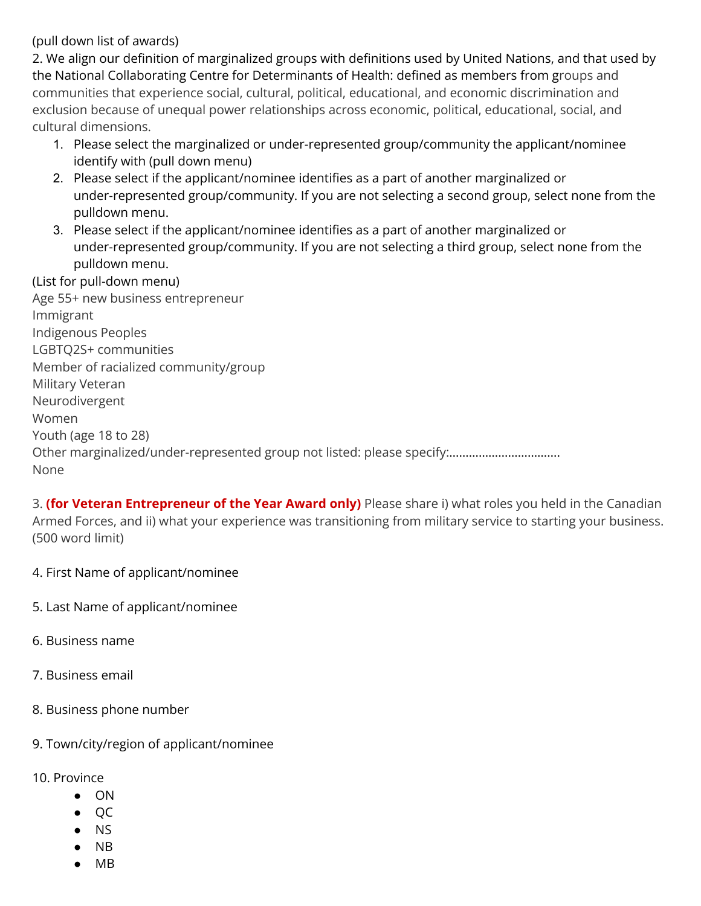(pull down list of awards)

2. We align our definition of marginalized groups with definitions used by United Nations, and that used by the National Collaborating Centre for Determinants of Health: defined as members from groups and communities that experience social, cultural, political, educational, and economic discrimination and exclusion because of unequal power relationships across economic, political, educational, social, and cultural dimensions.

- 1. Please select the marginalized or under-represented group/community the applicant/nominee identify with (pull down menu)
- 2. Please select if the applicant/nominee identifies as a part of another marginalized or under-represented group/community. If you are not selecting a second group, select none from the pulldown menu.
- 3. Please select if the applicant/nominee identifies as a part of another marginalized or under-represented group/community. If you are not selecting a third group, select none from the pulldown menu.

#### (List for pull-down menu)

Age 55+ new business entrepreneur Immigrant Indigenous Peoples LGBTQ2S+ communities Member of racialized community/group Military Veteran Neurodivergent Women Youth (age 18 to 28) Other marginalized/under-represented group not listed: please specify:……………………………. None

3. **(for Veteran Entrepreneur of the Year Award only)** Please share i) what roles you held in the Canadian Armed Forces, and ii) what your experience was transitioning from military service to starting your business. (500 word limit)

- 4. First Name of applicant/nominee
- 5. Last Name of applicant/nominee
- 6. Business name
- 7. Business email
- 8. Business phone number
- 9. Town/city/region of applicant/nominee
- 10. Province
	- ON
	- QC
	- NS
	- NB
	- $MB$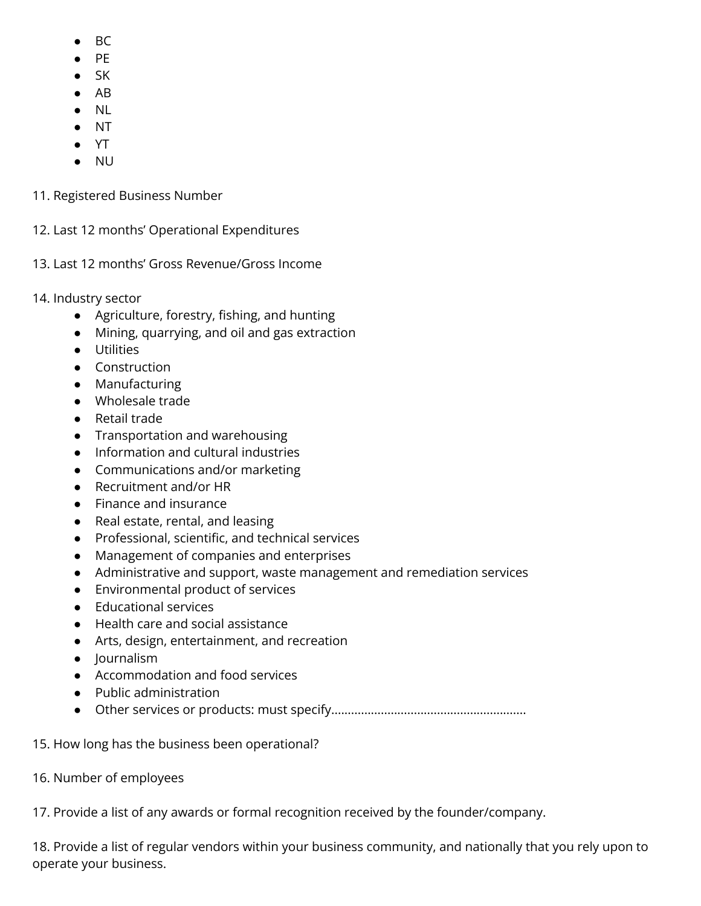- $BC$
- PE
- $\bullet$  SK
- AB
- NL
- NT
- YT
- NU
- 11. Registered Business Number
- 12. Last 12 months' Operational Expenditures
- 13. Last 12 months' Gross Revenue/Gross Income
- 14. Industry sector
	- Agriculture, forestry, fishing, and hunting
	- Mining, quarrying, and oil and gas extraction
	- Utilities
	- Construction
	- Manufacturing
	- Wholesale trade
	- Retail trade
	- Transportation and warehousing
	- Information and cultural industries
	- Communications and/or marketing
	- Recruitment and/or HR
	- Finance and insurance
	- Real estate, rental, and leasing
	- Professional, scientific, and technical services
	- Management of companies and enterprises
	- Administrative and support, waste management and remediation services
	- Environmental product of services
	- Educational services
	- Health care and social assistance
	- Arts, design, entertainment, and recreation
	- Journalism
	- Accommodation and food services
	- Public administration
	- Other services or products: must specify...........................................................
- 15. How long has the business been operational?
- 16. Number of employees

17. Provide a list of any awards or formal recognition received by the founder/company.

18. Provide a list of regular vendors within your business community, and nationally that you rely upon to operate your business.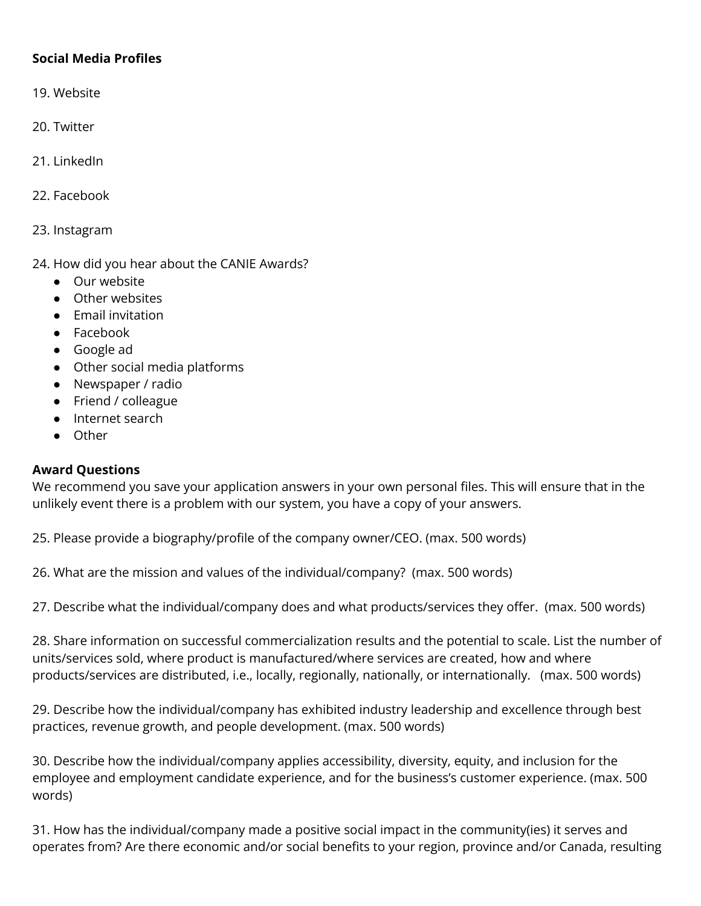#### **Social Media Profiles**

- 19. Website
- 20. Twitter
- 21. LinkedIn
- 22. Facebook
- 23. Instagram
- 24. How did you hear about the CANIE Awards?
	- Our website
	- Other websites
	- Email invitation
	- Facebook
	- Google ad
	- Other social media platforms
	- Newspaper / radio
	- Friend / colleague
	- Internet search
	- Other

#### **Award Questions**

We recommend you save your application answers in your own personal files. This will ensure that in the unlikely event there is a problem with our system, you have a copy of your answers.

25. Please provide a biography/profile of the company owner/CEO. (max. 500 words)

26. What are the mission and values of the individual/company? (max. 500 words)

27. Describe what the individual/company does and what products/services they offer. (max. 500 words)

28. Share information on successful commercialization results and the potential to scale. List the number of units/services sold, where product is manufactured/where services are created, how and where products/services are distributed, i.e., locally, regionally, nationally, or internationally. (max. 500 words)

29. Describe how the individual/company has exhibited industry leadership and excellence through best practices, revenue growth, and people development. (max. 500 words)

30. Describe how the individual/company applies accessibility, diversity, equity, and inclusion for the employee and employment candidate experience, and for the business's customer experience. (max. 500 words)

31. How has the individual/company made a positive social impact in the community(ies) it serves and operates from? Are there economic and/or social benefits to your region, province and/or Canada, resulting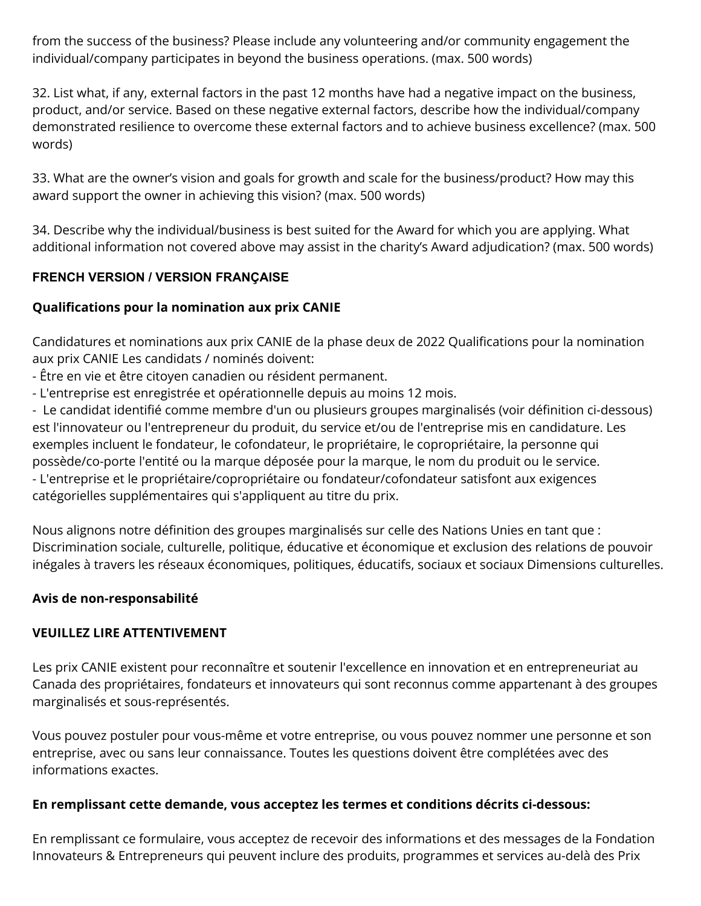from the success of the business? Please include any volunteering and/or community engagement the individual/company participates in beyond the business operations. (max. 500 words)

32. List what, if any, external factors in the past 12 months have had a negative impact on the business, product, and/or service. Based on these negative external factors, describe how the individual/company demonstrated resilience to overcome these external factors and to achieve business excellence? (max. 500 words)

33. What are the owner's vision and goals for growth and scale for the business/product? How may this award support the owner in achieving this vision? (max. 500 words)

34. Describe why the individual/business is best suited for the Award for which you are applying. What additional information not covered above may assist in the charity's Award adjudication? (max. 500 words)

## **FRENCH VERSION / VERSION FRANÇAISE**

## **Qualifications pour la nomination aux prix CANIE**

Candidatures et nominations aux prix CANIE de la phase deux de 2022 Qualifications pour la nomination aux prix CANIE Les candidats / nominés doivent:

- Être en vie et être citoyen canadien ou résident permanent.
- L'entreprise est enregistrée et opérationnelle depuis au moins 12 mois.

- Le candidat identifié comme membre d'un ou plusieurs groupes marginalisés (voir définition ci-dessous) est l'innovateur ou l'entrepreneur du produit, du service et/ou de l'entreprise mis en candidature. Les exemples incluent le fondateur, le cofondateur, le propriétaire, le copropriétaire, la personne qui possède/co-porte l'entité ou la marque déposée pour la marque, le nom du produit ou le service. - L'entreprise et le propriétaire/copropriétaire ou fondateur/cofondateur satisfont aux exigences catégorielles supplémentaires qui s'appliquent au titre du prix.

Nous alignons notre définition des groupes marginalisés sur celle des Nations Unies en tant que : Discrimination sociale, culturelle, politique, éducative et économique et exclusion des relations de pouvoir inégales à travers les réseaux économiques, politiques, éducatifs, sociaux et sociaux Dimensions culturelles.

## **Avis de non-responsabilité**

## **VEUILLEZ LIRE ATTENTIVEMENT**

Les prix CANIE existent pour reconnaître et soutenir l'excellence en innovation et en entrepreneuriat au Canada des propriétaires, fondateurs et innovateurs qui sont reconnus comme appartenant à des groupes marginalisés et sous-représentés.

Vous pouvez postuler pour vous-même et votre entreprise, ou vous pouvez nommer une personne et son entreprise, avec ou sans leur connaissance. Toutes les questions doivent être complétées avec des informations exactes.

## **En remplissant cette demande, vous acceptez les termes et conditions décrits ci-dessous:**

En remplissant ce formulaire, vous acceptez de recevoir des informations et des messages de la Fondation Innovateurs & Entrepreneurs qui peuvent inclure des produits, programmes et services au-delà des Prix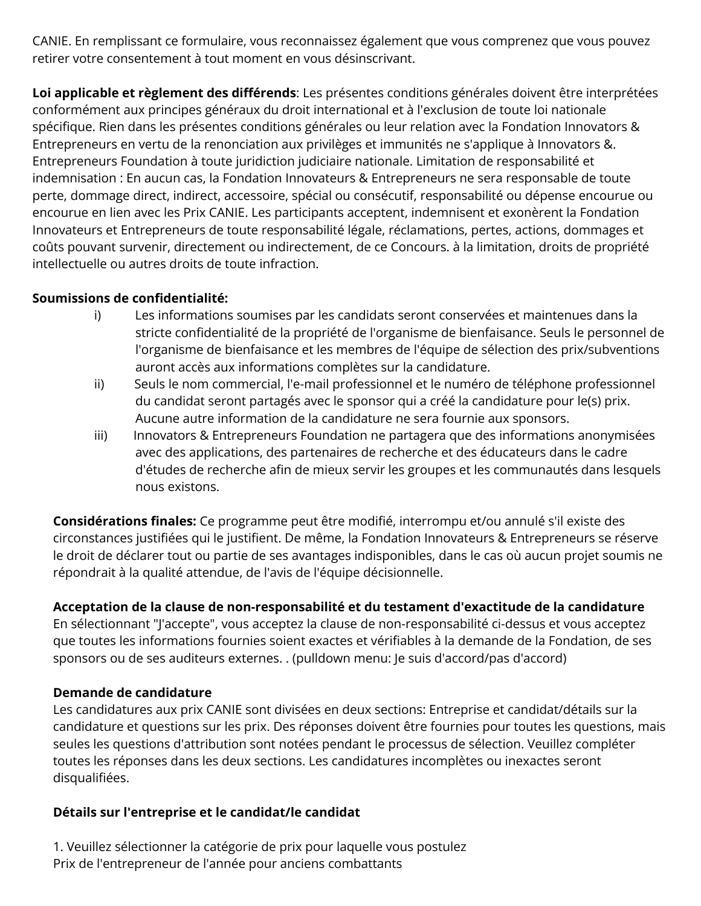CANIE. En remplissant ce formulaire, vous reconnaissez également que vous comprenez que vous pouvez retirer votre consentement à tout moment en vous désinscrivant.

**Loi applicable et règlement des différends**: Les présentes conditions générales doivent être interprétées conformément aux principes généraux du droit international et à l'exclusion de toute loi nationale spécifique. Rien dans les présentes conditions générales ou leur relation avec la Fondation Innovators & Entrepreneurs en vertu de la renonciation aux privilèges et immunités ne s'applique à Innovators &. Entrepreneurs Foundation à toute juridiction judiciaire nationale. Limitation de responsabilité et indemnisation : En aucun cas, la Fondation Innovateurs & Entrepreneurs ne sera responsable de toute perte, dommage direct, indirect, accessoire, spécial ou consécutif, responsabilité ou dépense encourue ou encourue en lien avec les Prix CANIE. Les participants acceptent, indemnisent et exonèrent la Fondation Innovateurs et Entrepreneurs de toute responsabilité légale, réclamations, pertes, actions, dommages et coûts pouvant survenir, directement ou indirectement, de ce Concours. à la limitation, droits de propriété intellectuelle ou autres droits de toute infraction.

#### **Soumissions de confidentialité:**

- i) Les informations soumises par les candidats seront conservées et maintenues dans la stricte confidentialité de la propriété de l'organisme de bienfaisance. Seuls le personnel de l'organisme de bienfaisance et les membres de l'équipe de sélection des prix/subventions auront accès aux informations complètes sur la candidature.
- ii) Seuls le nom commercial, l'e-mail professionnel et le numéro de téléphone professionnel du candidat seront partagés avec le sponsor qui a créé la candidature pour le(s) prix. Aucune autre information de la candidature ne sera fournie aux sponsors.
- iii) Innovators & Entrepreneurs Foundation ne partagera que des informations anonymisées avec des applications, des partenaires de recherche et des éducateurs dans le cadre d'études de recherche afin de mieux servir les groupes et les communautés dans lesquels nous existons.

**Considérations finales:** Ce programme peut être modifié, interrompu et/ou annulé s'il existe des circonstances justifiées qui le justifient. De même, la Fondation Innovateurs & Entrepreneurs se réserve le droit de déclarer tout ou partie de ses avantages indisponibles, dans le cas où aucun projet soumis ne répondrait à la qualité attendue, de l'avis de l'équipe décisionnelle.

## **Acceptation de la clause de non-responsabilité et du testament d'exactitude de la candidature**

En sélectionnant "J'accepte", vous acceptez la clause de non-responsabilité ci-dessus et vous acceptez que toutes les informations fournies soient exactes et vérifiables à la demande de la Fondation, de ses sponsors ou de ses auditeurs externes. . (pulldown menu: Je suis d'accord/pas d'accord)

#### **Demande de candidature**

Les candidatures aux prix CANIE sont divisées en deux sections: Entreprise et candidat/détails sur la candidature et questions sur les prix. Des réponses doivent être fournies pour toutes les questions, mais seules les questions d'attribution sont notées pendant le processus de sélection. Veuillez compléter toutes les réponses dans les deux sections. Les candidatures incomplètes ou inexactes seront disqualifiées.

#### **Détails sur l'entreprise et le candidat/le candidat**

1. Veuillez sélectionner la catégorie de prix pour laquelle vous postulez Prix de l'entrepreneur de l'année pour anciens combattants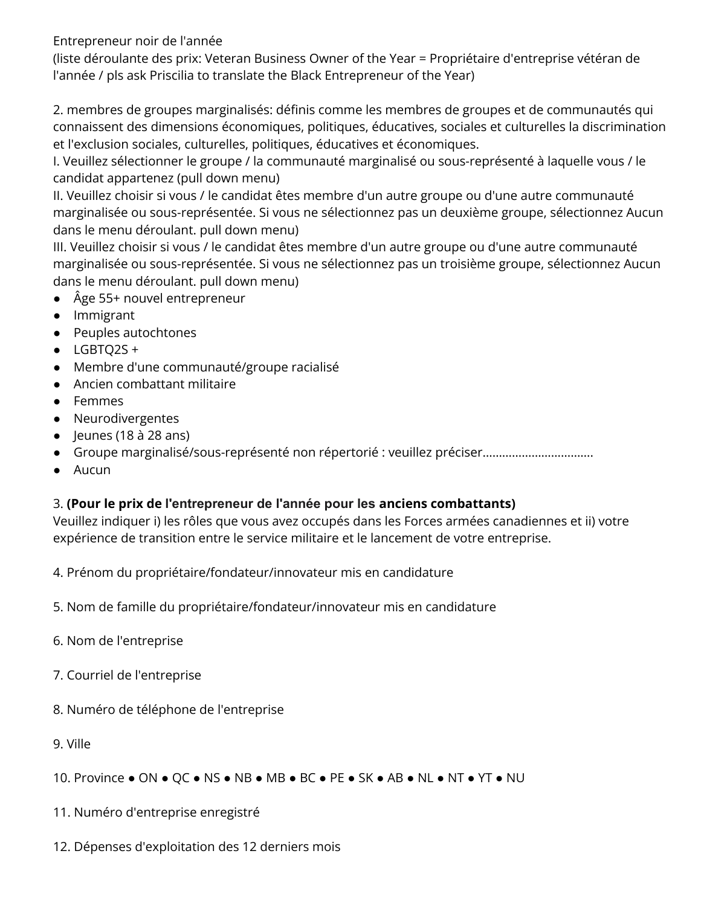Entrepreneur noir de l'année

(liste déroulante des prix: Veteran Business Owner of the Year = Propriétaire d'entreprise vétéran de l'année / pls ask Priscilia to translate the Black Entrepreneur of the Year)

2. membres de groupes marginalisés: définis comme les membres de groupes et de communautés qui connaissent des dimensions économiques, politiques, éducatives, sociales et culturelles la discrimination et l'exclusion sociales, culturelles, politiques, éducatives et économiques.

I. Veuillez sélectionner le groupe / la communauté marginalisé ou sous-représenté à laquelle vous / le candidat appartenez (pull down menu)

II. Veuillez choisir si vous / le candidat êtes membre d'un autre groupe ou d'une autre communauté marginalisée ou sous-représentée. Si vous ne sélectionnez pas un deuxième groupe, sélectionnez Aucun dans le menu déroulant. pull down menu)

III. Veuillez choisir si vous / le candidat êtes membre d'un autre groupe ou d'une autre communauté marginalisée ou sous-représentée. Si vous ne sélectionnez pas un troisième groupe, sélectionnez Aucun dans le menu déroulant. pull down menu)

- Âge 55+ nouvel entrepreneur
- Immigrant
- Peuples autochtones
- $\bullet$  LGBTQ2S +
- Membre d'une communauté/groupe racialisé
- Ancien combattant militaire
- Femmes
- Neurodivergentes
- $\bullet$  Jeunes (18 à 28 ans)
- Groupe marginalisé/sous-représenté non répertorié : veuillez préciser…………………………….
- Aucun

# 3. **(Pour le prix de l'entrepreneur de l'année pour les anciens combattants)**

Veuillez indiquer i) les rôles que vous avez occupés dans les Forces armées canadiennes et ii) votre expérience de transition entre le service militaire et le lancement de votre entreprise.

4. Prénom du propriétaire/fondateur/innovateur mis en candidature

- 5. Nom de famille du propriétaire/fondateur/innovateur mis en candidature
- 6. Nom de l'entreprise
- 7. Courriel de l'entreprise
- 8. Numéro de téléphone de l'entreprise
- 9. Ville

10. Province ● ON ● QC ● NS ● NB ● MB ● BC ● PE ● SK ● AB ● NL ● NT ● YT ● NU

- 11. Numéro d'entreprise enregistré
- 12. Dépenses d'exploitation des 12 derniers mois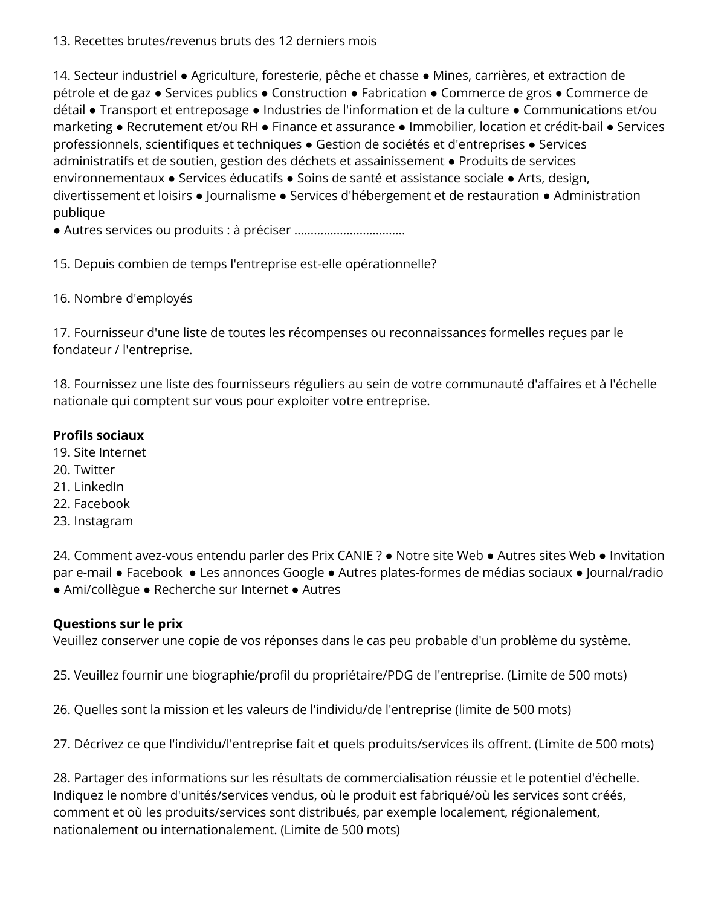#### 13. Recettes brutes/revenus bruts des 12 derniers mois

14. Secteur industriel ● Agriculture, foresterie, pêche et chasse ● Mines, carrières, et extraction de pétrole et de gaz ● Services publics ● Construction ● Fabrication ● Commerce de gros ● Commerce de détail ● Transport et entreposage ● Industries de l'information et de la culture ● Communications et/ou marketing ● Recrutement et/ou RH ● Finance et assurance ● Immobilier, location et crédit-bail ● Services professionnels, scientifiques et techniques ● Gestion de sociétés et d'entreprises ● Services administratifs et de soutien, gestion des déchets et assainissement ● Produits de services environnementaux ● Services éducatifs ● Soins de santé et assistance sociale ● Arts, design, divertissement et loisirs ● Journalisme ● Services d'hébergement et de restauration ● Administration publique

● Autres services ou produits : à préciser …………………………….

15. Depuis combien de temps l'entreprise est-elle opérationnelle?

16. Nombre d'employés

17. Fournisseur d'une liste de toutes les récompenses ou reconnaissances formelles reçues par le fondateur / l'entreprise.

18. Fournissez une liste des fournisseurs réguliers au sein de votre communauté d'affaires et à l'échelle nationale qui comptent sur vous pour exploiter votre entreprise.

#### **Profils sociaux**

- 19. Site Internet
- 20. Twitter
- 21. LinkedIn
- 22. Facebook
- 23. Instagram

24. Comment avez-vous entendu parler des Prix CANIE ? ● Notre site Web ● Autres sites Web ● Invitation par e-mail ● Facebook ● Les annonces Google ● Autres plates-formes de médias sociaux ● Journal/radio ● Ami/collègue ● Recherche sur Internet ● Autres

#### **Questions sur le prix**

Veuillez conserver une copie de vos réponses dans le cas peu probable d'un problème du système.

25. Veuillez fournir une biographie/profil du propriétaire/PDG de l'entreprise. (Limite de 500 mots)

26. Quelles sont la mission et les valeurs de l'individu/de l'entreprise (limite de 500 mots)

27. Décrivez ce que l'individu/l'entreprise fait et quels produits/services ils offrent. (Limite de 500 mots)

28. Partager des informations sur les résultats de commercialisation réussie et le potentiel d'échelle. Indiquez le nombre d'unités/services vendus, où le produit est fabriqué/où les services sont créés, comment et où les produits/services sont distribués, par exemple localement, régionalement, nationalement ou internationalement. (Limite de 500 mots)